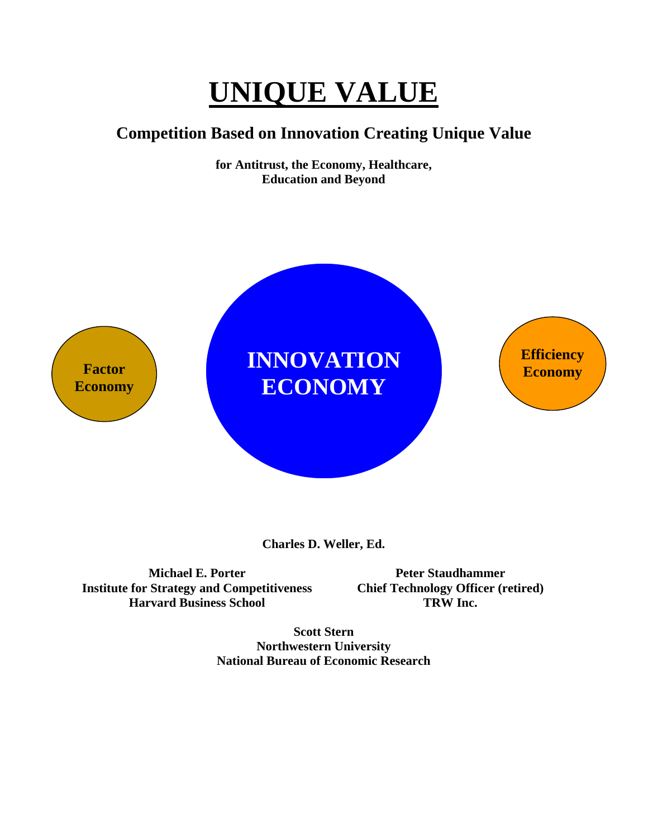# **UNIQUE VALUE**

# **Competition Based on Innovation Creating Unique Value**

**for Antitrust, the Economy, Healthcare, Education and Beyond**



**Charles D. Weller, Ed.** 

**Michael E. Porter Institute for Strategy and Competitiveness Harvard Business School** 

**Peter Staudhammer Chief Technology Officer (retired) TRW Inc.** 

**Scott Stern Northwestern University National Bureau of Economic Research**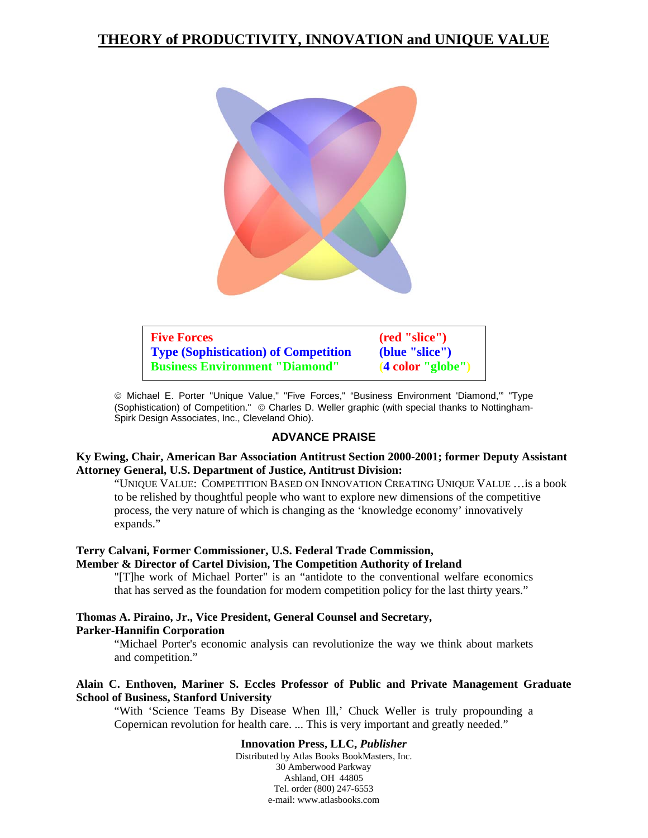# **THEORY of PRODUCTIVITY, INNOVATION and UNIQUE VALUE**



| <b>Five Forces</b>                          | (red "slice")                |
|---------------------------------------------|------------------------------|
| <b>Type (Sophistication) of Competition</b> | (blue "slice")               |
| <b>Business Environment "Diamond"</b>       | $(4 \text{ color "globe''})$ |

© Michael E. Porter "Unique Value," "Five Forces," "Business Environment 'Diamond,'" "Type (Sophistication) of Competition." © Charles D. Weller graphic (with special thanks to Nottingham-Spirk Design Associates, Inc., Cleveland Ohio).

#### **ADVANCE PRAISE**

#### **Ky Ewing, Chair, American Bar Association Antitrust Section 2000-2001; former Deputy Assistant Attorney General, U.S. Department of Justice, Antitrust Division:**

"UNIQUE VALUE: COMPETITION BASED ON INNOVATION CREATING UNIQUE VALUE …is a book to be relished by thoughtful people who want to explore new dimensions of the competitive process, the very nature of which is changing as the 'knowledge economy' innovatively expands."

#### **Terry Calvani, Former Commissioner, U.S. Federal Trade Commission,**

#### **Member & Director of Cartel Division, The Competition Authority of Ireland**

"[T]he work of Michael Porter" is an "antidote to the conventional welfare economics that has served as the foundation for modern competition policy for the last thirty years."

#### **Thomas A. Piraino, Jr., Vice President, General Counsel and Secretary, Parker-Hannifin Corporation**

"Michael Porter's economic analysis can revolutionize the way we think about markets and competition."

#### **Alain C. Enthoven, Mariner S. Eccles Professor of Public and Private Management Graduate School of Business, Stanford University**

"With 'Science Teams By Disease When Ill,' Chuck Weller is truly propounding a Copernican revolution for health care. ... This is very important and greatly needed."

## **Innovation Press, LLC,** *Publisher*

Distributed by Atlas Books BookMasters, Inc. 30 Amberwood Parkway Ashland, OH 44805 Tel. order (800) 247-6553 e-mail: www.atlasbooks.com